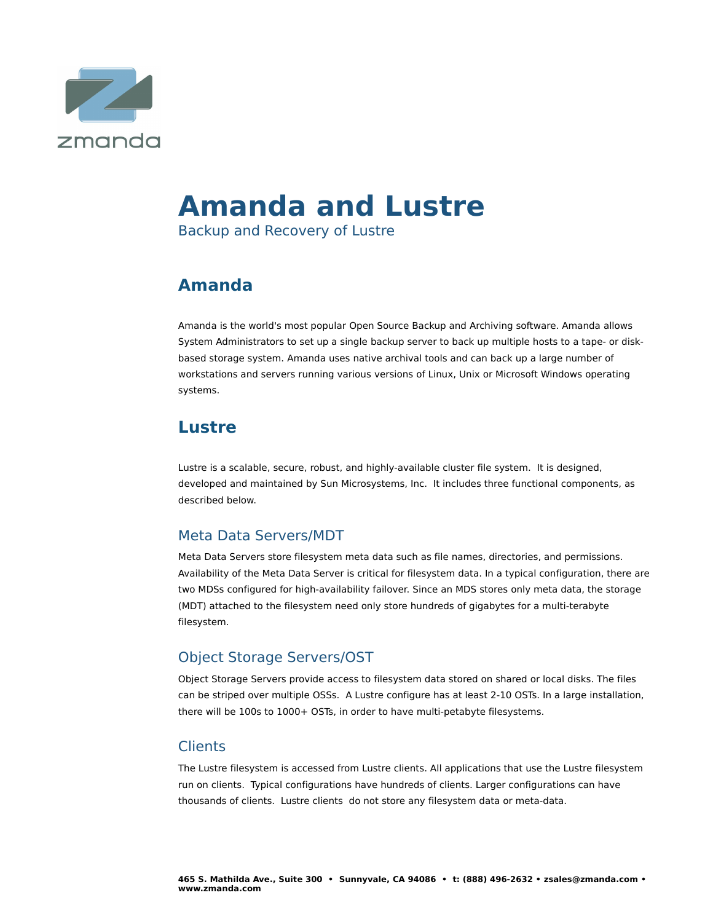

# **Amanda and Lustre**

Backup and Recovery of Lustre

# **Amanda**

Amanda is the world's most popular Open Source Backup and Archiving software. Amanda allows System Administrators to set up a single backup server to back up multiple hosts to a tape- or diskbased storage system. Amanda uses native archival tools and can back up a large number of workstations and servers running various versions of Linux, Unix or Microsoft Windows operating systems.

# **Lustre**

Lustre is a scalable, secure, robust, and highly-available cluster file system. It is designed, developed and maintained by Sun Microsystems, Inc. It includes three functional components, as described below.

## Meta Data Servers/MDT

Meta Data Servers store filesystem meta data such as file names, directories, and permissions. Availability of the Meta Data Server is critical for filesystem data. In a typical configuration, there are two MDSs configured for high-availability failover. Since an MDS stores only meta data, the storage (MDT) attached to the filesystem need only store hundreds of gigabytes for a multi-terabyte filesystem.

## Object Storage Servers/OST

Object Storage Servers provide access to filesystem data stored on shared or local disks. The files can be striped over multiple OSSs. A Lustre configure has at least 2-10 OSTs. In a large installation, there will be 100s to 1000+ OSTs, in order to have multi-petabyte filesystems.

## Clients

The Lustre filesystem is accessed from Lustre clients. All applications that use the Lustre filesystem run on clients. Typical configurations have hundreds of clients. Larger configurations can have thousands of clients. Lustre clients do not store any filesystem data or meta-data.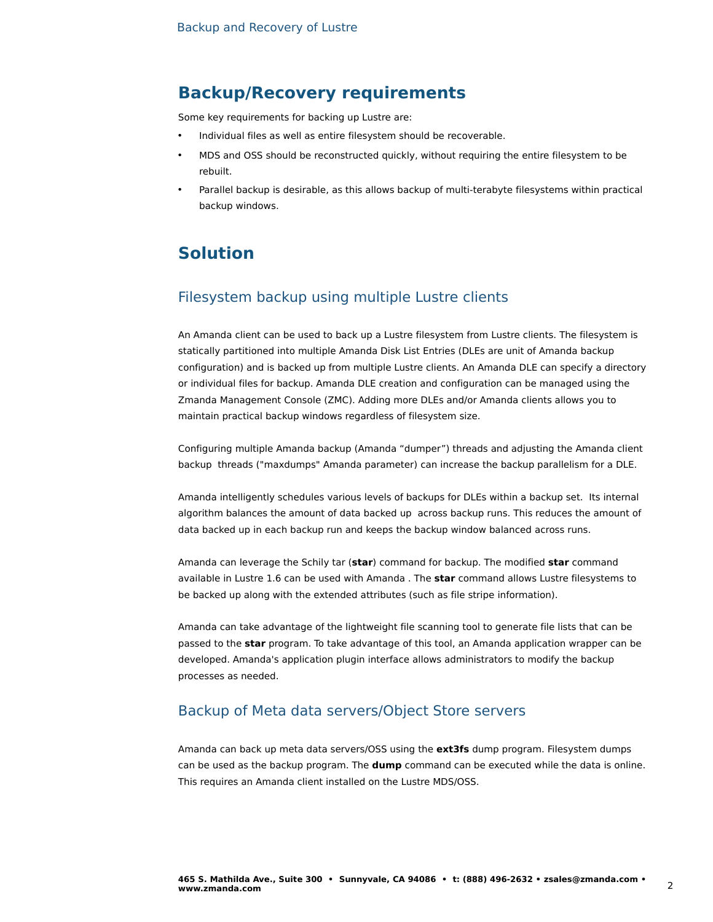## **Backup/Recovery requirements**

Some key requirements for backing up Lustre are:

- Individual files as well as entire filesystem should be recoverable.
- MDS and OSS should be reconstructed quickly, without requiring the entire filesystem to be rebuilt.
- Parallel backup is desirable, as this allows backup of multi-terabyte filesystems within practical backup windows.

# **Solution**

#### Filesystem backup using multiple Lustre clients

An Amanda client can be used to back up a Lustre filesystem from Lustre clients. The filesystem is statically partitioned into multiple Amanda Disk List Entries (DLEs are unit of Amanda backup configuration) and is backed up from multiple Lustre clients. An Amanda DLE can specify a directory or individual files for backup. Amanda DLE creation and configuration can be managed using the Zmanda Management Console (ZMC). Adding more DLEs and/or Amanda clients allows you to maintain practical backup windows regardless of filesystem size.

Configuring multiple Amanda backup (Amanda "dumper") threads and adjusting the Amanda client backup threads ("maxdumps" Amanda parameter) can increase the backup parallelism for a DLE.

Amanda intelligently schedules various levels of backups for DLEs within a backup set. Its internal algorithm balances the amount of data backed up across backup runs. This reduces the amount of data backed up in each backup run and keeps the backup window balanced across runs.

Amanda can leverage the Schily tar (**star**) command for backup. The modified **star** command available in Lustre 1.6 can be used with Amanda . The **star** command allows Lustre filesystems to be backed up along with the extended attributes (such as file stripe information).

Amanda can take advantage of the lightweight file scanning tool to generate file lists that can be passed to the **star** program. To take advantage of this tool, an Amanda application wrapper can be developed. Amanda's application plugin interface allows administrators to modify the backup processes as needed.

#### Backup of Meta data servers/Object Store servers

Amanda can back up meta data servers/OSS using the **ext3fs** dump program. Filesystem dumps can be used as the backup program. The **dump** command can be executed while the data is online. This requires an Amanda client installed on the Lustre MDS/OSS.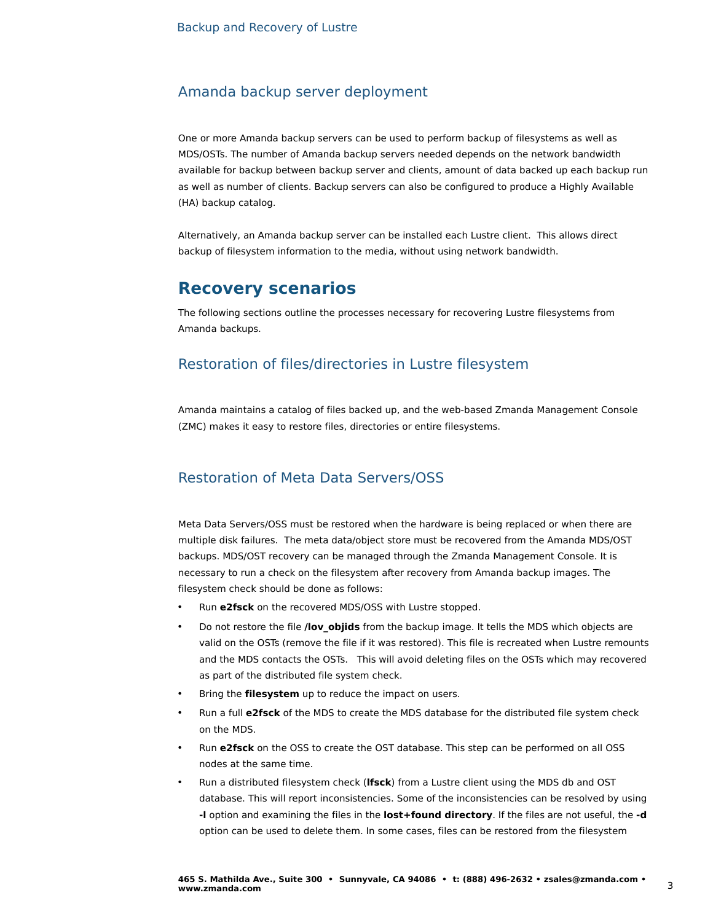#### Amanda backup server deployment

One or more Amanda backup servers can be used to perform backup of filesystems as well as MDS/OSTs. The number of Amanda backup servers needed depends on the network bandwidth available for backup between backup server and clients, amount of data backed up each backup run as well as number of clients. Backup servers can also be configured to produce a Highly Available (HA) backup catalog.

Alternatively, an Amanda backup server can be installed each Lustre client. This allows direct backup of filesystem information to the media, without using network bandwidth.

## **Recovery scenarios**

The following sections outline the processes necessary for recovering Lustre filesystems from Amanda backups.

#### Restoration of files/directories in Lustre filesystem

Amanda maintains a catalog of files backed up, and the web-based Zmanda Management Console (ZMC) makes it easy to restore files, directories or entire filesystems.

#### Restoration of Meta Data Servers/OSS

Meta Data Servers/OSS must be restored when the hardware is being replaced or when there are multiple disk failures. The meta data/object store must be recovered from the Amanda MDS/OST backups. MDS/OST recovery can be managed through the Zmanda Management Console. It is necessary to run a check on the filesystem after recovery from Amanda backup images. The filesystem check should be done as follows:

- Run **e2fsck** on the recovered MDS/OSS with Lustre stopped.
- Do not restore the file **/lov\_objids** from the backup image. It tells the MDS which objects are valid on the OSTs (remove the file if it was restored). This file is recreated when Lustre remounts and the MDS contacts the OSTs. This will avoid deleting files on the OSTs which may recovered as part of the distributed file system check.
- Bring the **filesystem** up to reduce the impact on users.
- Run a full **e2fsck** of the MDS to create the MDS database for the distributed file system check on the MDS.
- Run **e2fsck** on the OSS to create the OST database. This step can be performed on all OSS nodes at the same time.
- Run a distributed filesystem check (**lfsck**) from a Lustre client using the MDS db and OST database. This will report inconsistencies. Some of the inconsistencies can be resolved by using **-l** option and examining the files in the **lost+found directory**. If the files are not useful, the **-d** option can be used to delete them. In some cases, files can be restored from the filesystem